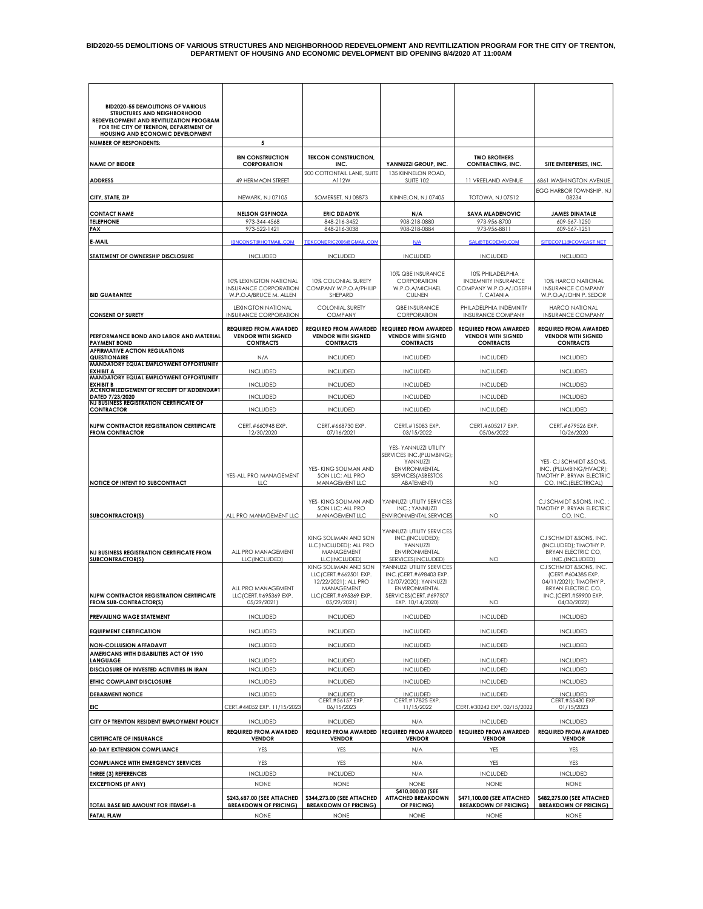| <b>BID2020-55 DEMOLITIONS OF VARIOUS</b><br>STRUCTURES AND NEIGHBORHOOD<br>REDEVELOPMENT AND REVITILIZATION PROGRAM<br>FOR THE CITY OF TRENTON, DEPARTMENT OF |                                                                                  |                                                                                                                              |                                                                                                                                             |                                                                                        |                                                                                                                                              |
|---------------------------------------------------------------------------------------------------------------------------------------------------------------|----------------------------------------------------------------------------------|------------------------------------------------------------------------------------------------------------------------------|---------------------------------------------------------------------------------------------------------------------------------------------|----------------------------------------------------------------------------------------|----------------------------------------------------------------------------------------------------------------------------------------------|
| HOUSING AND ECONOMIC DEVELOPMENT                                                                                                                              |                                                                                  |                                                                                                                              |                                                                                                                                             |                                                                                        |                                                                                                                                              |
| <b>NUMBER OF RESPONDENTS:</b>                                                                                                                                 | 5                                                                                |                                                                                                                              |                                                                                                                                             |                                                                                        |                                                                                                                                              |
| <b>NAME OF BIDDER</b>                                                                                                                                         | <b>IBN CONSTRUCTION</b><br><b>CORPORATION</b>                                    | <b>TEKCON CONSTRUCTION,</b><br>INC.                                                                                          | YANNUZZI GROUP, INC.                                                                                                                        | <b>TWO BROTHERS</b><br><b>CONTRACTING, INC.</b>                                        | SITE ENTERPRISES, INC.                                                                                                                       |
| <b>ADDRESS</b>                                                                                                                                                | 49 HERMAON STREET                                                                | 200 COTTONTAIL LANE, SUITE<br>A112W                                                                                          | 135 KINNELON ROAD,<br><b>SUITE 102</b>                                                                                                      | 11 VREELAND AVENUE                                                                     | 6861 WASHINGTON AVENUE                                                                                                                       |
| CITY, STATE, ZIP                                                                                                                                              | NEWARK, NJ 07105                                                                 | SOMERSET, NJ 08873                                                                                                           | KINNELON, NJ 07405                                                                                                                          | <b>TOTOWA, NJ 07512</b>                                                                | EGG HARBOR TOWNSHIP, NJ<br>08234                                                                                                             |
| <b>CONTACT NAME</b>                                                                                                                                           | <b>NELSON GSPINOZA</b>                                                           | <b>ERIC DZIADYK</b>                                                                                                          | N/A                                                                                                                                         | <b>SAVA MLADENOVIC</b>                                                                 | <b>JAMES DINATALE</b>                                                                                                                        |
| <b>TELEPHONE</b>                                                                                                                                              | 973-344-4568                                                                     | 848-216-3452                                                                                                                 | 908-218-0880                                                                                                                                | 973-956-8700                                                                           | 609-567-1250                                                                                                                                 |
| FAX                                                                                                                                                           | 973-522-1421                                                                     | 848-216-3038                                                                                                                 | 908-218-0884                                                                                                                                | 973-956-8811                                                                           | 609-567-1251                                                                                                                                 |
| E-MAIL                                                                                                                                                        | <b>IBNCONST@HOTMAIL.COM</b>                                                      | TEKCONERIC2006@GMAIL.COM                                                                                                     | N/A                                                                                                                                         | SAL@TBCDEMO.COM                                                                        | SITECO711@COMCAST.NET                                                                                                                        |
| STATEMENT OF OWNERSHIP DISCLOSURE                                                                                                                             | <b>INCLUDED</b>                                                                  | <b>INCLUDED</b>                                                                                                              | <b>INCLUDED</b>                                                                                                                             | <b>INCLUDED</b>                                                                        | <b>INCLUDED</b>                                                                                                                              |
|                                                                                                                                                               |                                                                                  |                                                                                                                              |                                                                                                                                             |                                                                                        |                                                                                                                                              |
| <b>BID GUARANTEE</b>                                                                                                                                          | 10% LEXINGTON NATIONAL<br><b>INSURANCE CORPORATION</b><br>W.P.O.A/BRUCE M. ALLEN | 10% COLONIAL SURETY<br>COMPANY W.P.O.A/PHILIP<br>SHEPARD                                                                     | 10% QBE INSURANCE<br>CORPORATION<br>W.P.O.A/MICHAEL<br><b>CULNEN</b>                                                                        | 10% PHILADELPHIA<br><b>INDEMNITY INSURANCE</b><br>COMPANY W.P.O.A/JOSEPH<br>T. CATANIA | 10% HARCO NATIONAL<br><b>INSURANCE COMPANY</b><br>W.P.O.A/JOHN P. SEDOR                                                                      |
| <b>CONSENT OF SURETY</b>                                                                                                                                      | <b>LEXINGTON NATIONAL</b><br>INSURANCE CORPORATION                               | <b>COLONIAL SURETY</b><br><b>COMPANY</b>                                                                                     | QBE INSURANCE<br>CORPORATION                                                                                                                | PHILADELPHIA INDEMNITY<br><b>INSURANCE COMPANY</b>                                     | HARCO NATIONAL<br><b>INSURANCE COMPANY</b>                                                                                                   |
| PERFORMANCE BOND AND LABOR AND MATERIAL                                                                                                                       | <b>REQUIRED FROM AWARDED</b><br><b>VENDOR WITH SIGNED</b>                        | <b>REQUIRED FROM AWARDED</b><br><b>VENDOR WITH SIGNED</b>                                                                    | <b>REQUIRED FROM AWARDED</b><br><b>VENDOR WITH SIGNED</b>                                                                                   | <b>REQUIRED FROM AWARDED</b><br><b>VENDOR WITH SIGNED</b>                              | <b>REQUIRED FROM AWARDED</b><br><b>VENDOR WITH SIGNED</b>                                                                                    |
| <b>PAYMENT BOND</b><br><b>AFFIRMATIVE ACTION REGULATIONS</b>                                                                                                  | <b>CONTRACTS</b>                                                                 | <b>CONTRACTS</b>                                                                                                             | <b>CONTRACTS</b>                                                                                                                            | <b>CONTRACTS</b>                                                                       | <b>CONTRACTS</b>                                                                                                                             |
| QUESTIONAIRE<br>MANDATORY EQUAL EMPLOYMENT OPPORTUNITY                                                                                                        | N/A                                                                              | <b>INCLUDED</b>                                                                                                              | <b>INCLUDED</b>                                                                                                                             | <b>INCLUDED</b>                                                                        | <b>INCLUDED</b>                                                                                                                              |
| <b>EXHIBIT A</b><br>MANDATORY EQUAL EMPLOYMENT OPPORTUNITY                                                                                                    | <b>INCLUDED</b>                                                                  | <b>INCLUDED</b>                                                                                                              | <b>INCLUDED</b>                                                                                                                             | <b>INCLUDED</b>                                                                        | <b>INCLUDED</b>                                                                                                                              |
| <b>EXHIBIT B</b><br><b>ACKNOWLEDGEMENT OF RECEIPT OF ADDENDA#1</b>                                                                                            | <b>INCLUDED</b>                                                                  | <b>INCLUDED</b>                                                                                                              | <b>INCLUDED</b>                                                                                                                             | <b>INCLUDED</b>                                                                        | <b>INCLUDED</b>                                                                                                                              |
| DATED 7/23/2020<br><b>NJ BUSINESS REGISTRATION CERTIFICATE OF</b>                                                                                             | <b>INCLUDED</b>                                                                  | <b>INCLUDED</b>                                                                                                              | <b>INCLUDED</b>                                                                                                                             | <b>INCLUDED</b>                                                                        | <b>INCLUDED</b>                                                                                                                              |
| <b>CONTRACTOR</b>                                                                                                                                             | <b>INCLUDED</b>                                                                  | <b>INCLUDED</b>                                                                                                              | <b>INCLUDED</b>                                                                                                                             | <b>INCLUDED</b>                                                                        | <b>INCLUDED</b>                                                                                                                              |
| <b>NJPW CONTRACTOR REGISTRATION CERTIFICATE</b><br><b>FROM CONTRACTOR</b>                                                                                     | CERT.#660948 EXP.<br>12/30/2020                                                  | CERT.#668730 EXP.<br>07/16/2021                                                                                              | CERT.#15083 EXP.<br>03/15/2022                                                                                                              | CERT.#605217 EXP.<br>05/06/2022                                                        | CERT.#679526 EXP.<br>10/26/2020                                                                                                              |
| NOTICE OF INTENT TO SUBCONTRACT                                                                                                                               | YES-ALL PRO MANAGEMENT<br><b>LLC</b>                                             | YES- KING SOLIMAN AND<br>SON LLC; ALL PRO<br>MANAGEMENT LLC                                                                  | YES- YANNUZZI UTILITY<br>SERVICES INC.(PLUMBING);<br>YANNUZZI<br>ENVIRONMENTAL<br>SERVICES (ASBESTOS<br>ABATEMENT)                          | NO.                                                                                    | YES- CJ SCHMIDT &SONS,<br>INC. (PLUMBING/HVACR);<br>TIMOTHY P. BRYAN ELECTRIC<br>CO, INC. (ELECTRICAL)                                       |
| <b>SUBCONTRACTOR(S)</b>                                                                                                                                       | ALL PRO MANAGEMENT LLC                                                           | YES- KING SOLIMAN AND<br>SON LLC; ALL PRO<br>MANAGEMENT LLC                                                                  | YANNUZZI UTILITY SERVICES<br>INC.; YANNUZZI<br><b>ENVIRONMENTAL SERVICES</b>                                                                | NO                                                                                     | CJ SCHMIDT &SONS, INC.;<br>TIMOTHY P. BRYAN ELECTRIC<br>CO, INC                                                                              |
| NJ BUSINESS REGISTRATION CERTIFICATE FROM<br>SUBCONTRACTOR(S)                                                                                                 | ALL PRO MANAGEMENT<br>LLC(INCLUDED)                                              | KING SOLIMAN AND SON<br>LLC(INCLUDED); ALL PRO<br>MANAGEMENT<br>LLC(INCLUDED)                                                | YANNUZZI UTILITY SERVICES<br>INC.(INCLUDED);<br>YANNUZZI<br><b>ENVIRONMENTAL</b><br>SERVICES (INCLUDED)                                     | NO                                                                                     | CJ SCHMIDT &SONS, INC.<br>(INCLUDED): TIMOTHY P.<br>BRYAN ELECTRIC CO,<br>INC.(INCLUDED)                                                     |
| <b>NJPW CONTRACTOR REGISTRATION CERTIFICATE</b><br>FROM SUB-CONTRACTOR(S)                                                                                     | ALL PRO MANAGEMENT<br>LLCT<br>CERI.#695369 EXP.<br>05/29/2021)                   | KING SOLIMAN AND SON<br>LLC/CERT.#662501 EXP.<br>12/22/2021): ALL PRO<br>MANAGEMENT<br>LLC (CERT.#695369 EXP.<br>05/29/2021) | YANNUZZI UTILITY SERVICES<br>INC.(CERT.#698403 EXP.<br>12/07/2020): YANNUZZI<br>ENVIRONMENTAL<br>SERVICES (CERT.#697507<br>EXP. 10/14/2020) | NO.                                                                                    | CJ SCHMIDT &SONS, INC.<br>(CERT.#604385 EXP.<br>04/11/2021); TIMOTHY P.<br><b>BRYAN ELECTRIC CO,</b><br>INC.(CERI.#59900 EXP.<br>04/30/2022) |
| PREVAILING WAGE STATEMENT                                                                                                                                     | <b>INCLUDED</b>                                                                  | <b>INCLUDED</b>                                                                                                              | <b>INCLUDED</b>                                                                                                                             | <b>INCLUDED</b>                                                                        | <b>INCLUDED</b>                                                                                                                              |
| <b>EQUIPMENT CERTIFICATION</b>                                                                                                                                | <b>INCLUDED</b>                                                                  | <b>INCLUDED</b>                                                                                                              | <b>INCLUDED</b>                                                                                                                             | <b>INCLUDED</b>                                                                        | <b>INCLUDED</b>                                                                                                                              |
| <b>NON-COLLUSION AFFADAVIT</b>                                                                                                                                | <b>INCLUDED</b>                                                                  | <b>INCLUDED</b>                                                                                                              | <b>INCLUDED</b>                                                                                                                             | <b>INCLUDED</b>                                                                        | <b>INCLUDED</b>                                                                                                                              |
| AMERICANS WITH DISABILITIES ACT OF 1990<br><b>LANGUAGE</b>                                                                                                    | <b>INCLUDED</b>                                                                  | <b>INCLUDED</b>                                                                                                              | <b>INCLUDED</b>                                                                                                                             | <b>INCLUDED</b>                                                                        | <b>INCLUDED</b>                                                                                                                              |
| DISCLOSURE OF INVESTED ACTIVITIES IN IRAN                                                                                                                     | <b>INCLUDED</b>                                                                  | <b>INCLUDED</b>                                                                                                              | <b>INCLUDED</b>                                                                                                                             | <b>INCLUDED</b>                                                                        | <b>INCLUDED</b>                                                                                                                              |
| ETHIC COMPLAINT DISCLOSURE                                                                                                                                    | <b>INCLUDED</b>                                                                  | <b>INCLUDED</b>                                                                                                              | <b>INCLUDED</b>                                                                                                                             | <b>INCLUDED</b>                                                                        | <b>INCLUDED</b>                                                                                                                              |
|                                                                                                                                                               |                                                                                  |                                                                                                                              |                                                                                                                                             |                                                                                        |                                                                                                                                              |
| <b>DEBARMENT NOTICE</b><br>EIC                                                                                                                                | <b>INCLUDED</b><br>CERT.#44052 EXP. 11/15/2023                                   | <b>INCLUDED</b><br>CERT.#56157 EXP.<br>06/15/2023                                                                            | <b>INCLUDED</b><br>CERT.#17825 EXP.<br>11/15/2022                                                                                           | <b>INCLUDED</b><br>CERT.#30242 EXP. 02/15/2022                                         | <b>INCLUDED</b><br>CERT.#55430 EXP.<br>01/15/2023                                                                                            |
|                                                                                                                                                               |                                                                                  |                                                                                                                              |                                                                                                                                             |                                                                                        |                                                                                                                                              |
| CITY OF TRENTON RESIDENT EMPLOYMENT POLICY                                                                                                                    | <b>INCLUDED</b><br><b>REQUIRED FROM AWARDED</b>                                  | <b>INCLUDED</b><br><b>REQUIRED FROM AWARDED</b>                                                                              | N/A<br><b>REQUIRED FROM AWARDED</b>                                                                                                         | <b>INCLUDED</b><br><b>REQUIRED FROM AWARDED</b>                                        | <b>INCLUDED</b><br><b>REQUIRED FROM AWARDED</b>                                                                                              |
| <b>CERTIFICATE OF INSURANCE</b>                                                                                                                               | <b>VENDOR</b>                                                                    | <b>VENDOR</b>                                                                                                                | <b>VENDOR</b>                                                                                                                               | <b>VENDOR</b>                                                                          | <b>VENDOR</b>                                                                                                                                |
| <b>60-DAY EXTENSION COMPLIANCE</b>                                                                                                                            | YES                                                                              | YES                                                                                                                          | N/A                                                                                                                                         | <b>YES</b>                                                                             | YES                                                                                                                                          |
| <b>COMPLIANCE WITH EMERGENCY SERVICES</b>                                                                                                                     | YES                                                                              | YES                                                                                                                          | N/A                                                                                                                                         | YES                                                                                    | YES                                                                                                                                          |
| <b>THREE (3) REFERENCES</b>                                                                                                                                   | <b>INCLUDED</b>                                                                  | <b>INCLUDED</b>                                                                                                              | N/A                                                                                                                                         | <b>INCLUDED</b>                                                                        | <b>INCLUDED</b>                                                                                                                              |
| <b>EXCEPTIONS (IF ANY)</b>                                                                                                                                    | <b>NONE</b>                                                                      | <b>NONE</b>                                                                                                                  | <b>NONE</b>                                                                                                                                 | <b>NONE</b>                                                                            | <b>NONE</b>                                                                                                                                  |
|                                                                                                                                                               | \$243,687.00 (SEE ATTACHED                                                       | \$344,273.00 (SEE ATTACHED                                                                                                   | \$410,000.00 (SEE<br><b>ATTACHED BREAKDOWN</b>                                                                                              | \$471,100.00 (SEE ATTACHED                                                             | \$482,275.00 (SEE ATTACHED                                                                                                                   |
| TOTAL BASE BID AMOUNT FOR ITEMS#1-8<br><b>FATAL FLAW</b>                                                                                                      | <b>BREAKDOWN OF PRICING)</b><br><b>NONE</b>                                      | <b>BREAKDOWN OF PRICING)</b><br><b>NONE</b>                                                                                  | OF PRICING)<br><b>NONE</b>                                                                                                                  | <b>BREAKDOWN OF PRICING)</b><br><b>NONE</b>                                            | <b>BREAKDOWN OF PRICING)</b><br><b>NONE</b>                                                                                                  |
|                                                                                                                                                               |                                                                                  |                                                                                                                              |                                                                                                                                             |                                                                                        |                                                                                                                                              |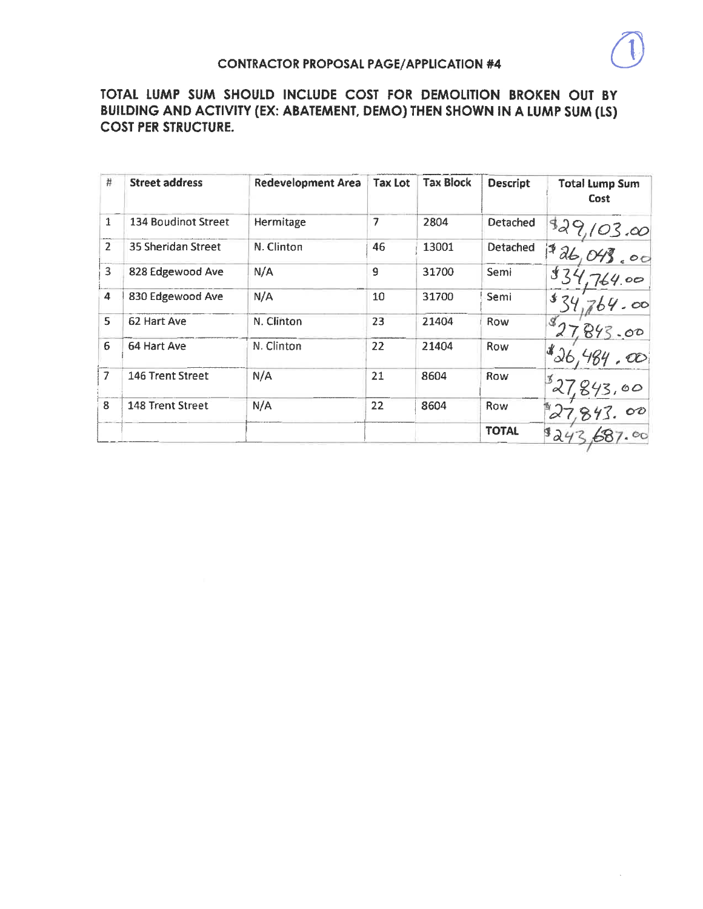| $\sharp$                | <b>Street address</b>     | Redevelopment Area | <b>Tax Lot</b> | <b>Tax Block</b> | <b>Descript</b> | <b>Total Lump Sum</b><br>Cost   |
|-------------------------|---------------------------|--------------------|----------------|------------------|-----------------|---------------------------------|
| $\mathbf{1}$            | 134 Boudinot Street       | Hermitage          | 7              | 2804             | Detached        |                                 |
| $\overline{2}$          | <b>35 Sheridan Street</b> | N. Clinton         | 46             | 13001            | Detached        | $\frac{829,103,00}{126,043,00}$ |
| $\overline{\mathbf{3}}$ | 828 Edgewood Ave          | N/A                | 9              | 31700            | Semi            |                                 |
| 4                       | 830 Edgewood Ave          | N/A                | 10             | 31700            | Semi            | 1820                            |
| 5                       | 62 Hart Ave               | N. Clinton         | 23             | 21404            | Row             | 843.00                          |
| 6                       | 64 Hart Ave               | N. Clinton         | 22             | 21404            | Row             | $\mathcal{L}_{26}$              |
| $\overline{7}$          | 146 Trent Street          | N/A                | 21             | 8604             | Row             |                                 |
| 8                       | 148 Trent Street          | N/A                | 22             | 8604             | Row             |                                 |
|                         |                           |                    |                |                  | <b>TOTAL</b>    | 824                             |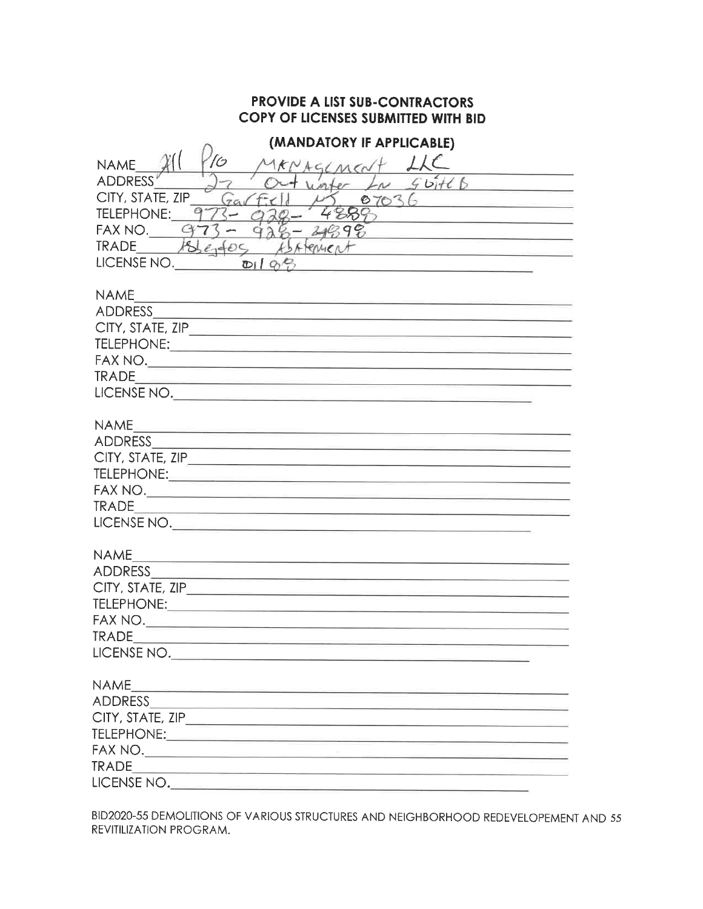| (MANDATORY IF APPLICABLE)                                                                                                                                                                                                                               |
|---------------------------------------------------------------------------------------------------------------------------------------------------------------------------------------------------------------------------------------------------------|
| <b>NAME</b><br>kNAGLMCN                                                                                                                                                                                                                                 |
| 56H6<br><b>ADDRESS</b>                                                                                                                                                                                                                                  |
| $4.09 + 27$<br>CITY, STATE, ZIP<br>$79\sqrt{f}$<br>0703                                                                                                                                                                                                 |
| TELEPHONE:                                                                                                                                                                                                                                              |
| <u> 1980 - Jan James James James James James James James James James James James James James James James James James James James James James James James James James James James James James James James James James James James</u><br>FAX NO.<br>2499 |
| 186000<br><b>TRADE</b><br>ASATEMER                                                                                                                                                                                                                      |
| <u> 1989 - Johann Harry Bernstein, mars a</u><br>LICENSE NO.<br>D198                                                                                                                                                                                    |
| <u> 1989 - Johann Harry Harry Harry Harry Harry Harry Harry Harry Harry Harry Harry Harry Harry Harry Harry Harry Harry Harry Harry Harry Harry Harry Harry Harry Harry Harry Harry Harry Harry Harry Harry Harry Harry Harry Ha</u>                    |
| <b>NAME</b>                                                                                                                                                                                                                                             |
|                                                                                                                                                                                                                                                         |
| CITY, STATE, ZIP                                                                                                                                                                                                                                        |
|                                                                                                                                                                                                                                                         |
|                                                                                                                                                                                                                                                         |
| <b>TRADE</b>                                                                                                                                                                                                                                            |
| LICENSE NO.                                                                                                                                                                                                                                             |
|                                                                                                                                                                                                                                                         |
| <b>NAME</b>                                                                                                                                                                                                                                             |
|                                                                                                                                                                                                                                                         |
|                                                                                                                                                                                                                                                         |
|                                                                                                                                                                                                                                                         |
|                                                                                                                                                                                                                                                         |
| <b>TRADE</b><br><u> 1989 - Johann Harry Harry Harry Harry Harry Harry Harry Harry Harry Harry Harry Harry Harry Harry Harry Harry Harry Harry Harry Harry Harry Harry Harry Harry Harry Harry Harry Harry Harry Harry Harry Harry Harry Harry Ha</u>    |
| LICENSE NO.                                                                                                                                                                                                                                             |
|                                                                                                                                                                                                                                                         |
| <b>NAME</b><br><u> 1980 - Antonio Alemania, presidente de la provincia de la provincia de la provincia de la provincia de la provi</u>                                                                                                                  |
|                                                                                                                                                                                                                                                         |
|                                                                                                                                                                                                                                                         |
|                                                                                                                                                                                                                                                         |
|                                                                                                                                                                                                                                                         |
| <b>TRADE</b>                                                                                                                                                                                                                                            |
| LICENSE NO.                                                                                                                                                                                                                                             |
|                                                                                                                                                                                                                                                         |
| <b>NAME</b>                                                                                                                                                                                                                                             |
|                                                                                                                                                                                                                                                         |
|                                                                                                                                                                                                                                                         |
| TELEPHONE: And the state of the state of the state of the state of the state of the state of the state of the                                                                                                                                           |
|                                                                                                                                                                                                                                                         |
| <b>TRADE</b>                                                                                                                                                                                                                                            |
| LICENSE NO.                                                                                                                                                                                                                                             |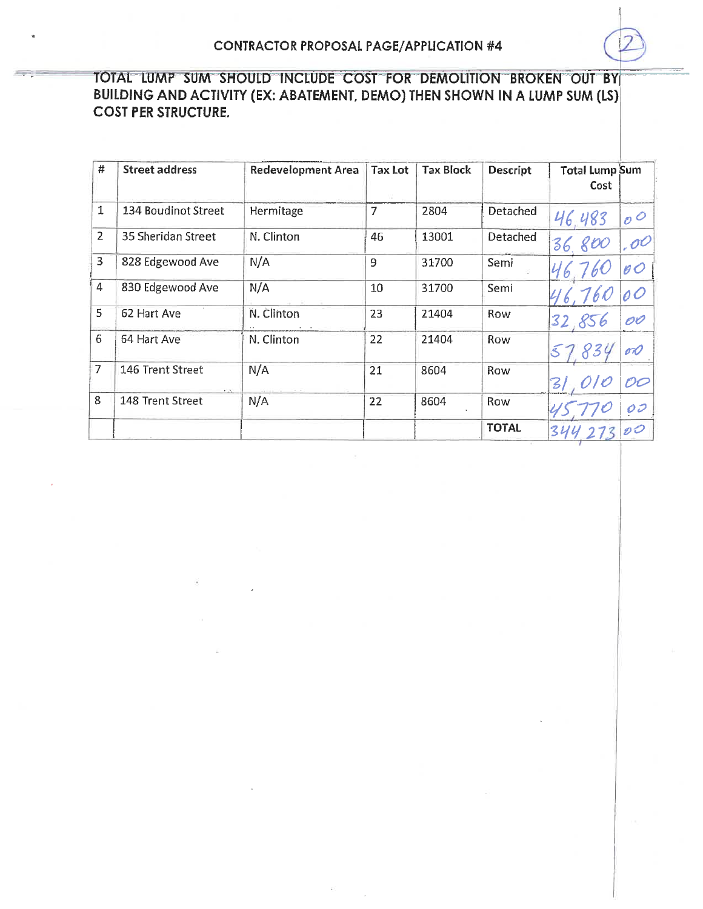| #              | <b>Street address</b> | <b>Redevelopment Area</b> | <b>Tax Lot</b> | Tax Block | <b>Descript</b> | <b>Total Lump Sum</b><br>Cost      |    |
|----------------|-----------------------|---------------------------|----------------|-----------|-----------------|------------------------------------|----|
| 1              | 134 Boudinot Street   | Hermitage                 | 7              | 2804      | Detached        | 46.483<br>$\overline{\mathcal{O}}$ |    |
| $\overline{2}$ | 35 Sheridan Street    | N. Clinton                | 46             | 13001     | Detached        | .00<br>goo<br>36                   |    |
| 3              | 828 Edgewood Ave      | N/A                       | 9              | 31700     | Semi            | 0 O<br>46                          |    |
| $\overline{4}$ | 830 Edgewood Ave      | N/A                       | 10             | 31700     | Semi            |                                    |    |
| 5              | 62 Hart Ave           | N. Clinton                | 23             | 21404     | Row             | 856<br>32<br>OO                    |    |
| 6              | 64 Hart Ave           | N. Clinton                | 22             | 21404     | Row             | 834<br>oD                          |    |
| 7              | 146 Trent Street      | N/A                       | 21             | 8604      | Row             | $\mathsf{Z}/% \mathsf{Z}$          | OO |
| 8              | 148 Trent Street      | N/A                       | 22             | 8604      | Row             |                                    | OI |
|                |                       |                           |                |           | <b>TOTAL</b>    | $\mathcal{O}$<br>34                |    |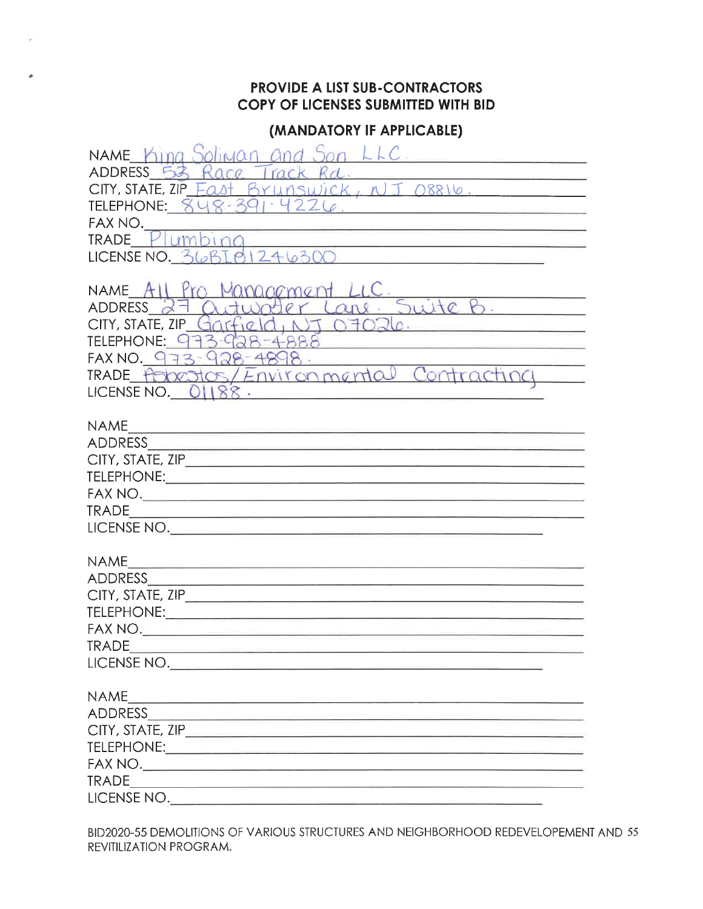## (MANDATORY IF APPLICABLE)

| NAME King Soliwan and Son LLC.<br>ADDRESS 53 Race Track Rd.<br>CITY, STATE, ZIP Fast BYLLOSWICK, NJ T 08816.<br>TELEPHONE: 848-391.4226<br>FAX NO.<br>TRADE Plumbing<br>TRADE_P umbing<br>LICENSE NO._36BI01246300                                                                                                                                                                                                                                                                                                                                                                                                                                                                                                                                                                                                                                                               |
|----------------------------------------------------------------------------------------------------------------------------------------------------------------------------------------------------------------------------------------------------------------------------------------------------------------------------------------------------------------------------------------------------------------------------------------------------------------------------------------------------------------------------------------------------------------------------------------------------------------------------------------------------------------------------------------------------------------------------------------------------------------------------------------------------------------------------------------------------------------------------------|
| NAME All Pro Management LLC<br>NAME All Pro Management LLC.<br>ADDRESS 27 Outworter Lane. Suite B.<br>CITY, STATE, ZIP Garfield, NT 07026.<br>TELEPHONE: 973-928-4888<br>FAX NO. 973-928-4898.<br>TRADE Asbestos/Environmental Contracting<br>LICENSE NO. $O(188$ .                                                                                                                                                                                                                                                                                                                                                                                                                                                                                                                                                                                                              |
| <b>NAME</b><br><b>TRADE</b><br><u> 1980 - Johann John Stein, markin fizik eta idazlea (</u><br>LICENSE NO.                                                                                                                                                                                                                                                                                                                                                                                                                                                                                                                                                                                                                                                                                                                                                                       |
| <b>NAME</b><br><u> 1989 - Johann Bernstein, fransk politik formu</u><br><b>ADDRESS</b><br>$FAX NO. \underline{\hspace{2cm} \qquad \qquad }$<br><b>TRADE</b><br>LICENSE NO.                                                                                                                                                                                                                                                                                                                                                                                                                                                                                                                                                                                                                                                                                                       |
| <b>NAME</b><br><u> 1989 - Johann Harry Harry Harry Harry Harry Harry Harry Harry Harry Harry Harry Harry Harry Harry Harry Harry</u><br>$\begin{picture}(180,10) \put(0,0){\vector(1,0){100}} \put(15,0){\vector(1,0){100}} \put(15,0){\vector(1,0){100}} \put(15,0){\vector(1,0){100}} \put(15,0){\vector(1,0){100}} \put(15,0){\vector(1,0){100}} \put(15,0){\vector(1,0){100}} \put(15,0){\vector(1,0){100}} \put(15,0){\vector(1,0){100}} \put(15,0){\vector(1,0){100}} \put(15,0){\vector(1,0){100}}$<br>$\begin{picture}(180,10) \put(0,0){\vector(1,0){100}} \put(10,0){\vector(1,0){100}} \put(10,0){\vector(1,0){100}} \put(10,0){\vector(1,0){100}} \put(10,0){\vector(1,0){100}} \put(10,0){\vector(1,0){100}} \put(10,0){\vector(1,0){100}} \put(10,0){\vector(1,0){100}} \put(10,0){\vector(1,0){100}} \put(10,0){\vector(1,0){100}} \put(10,0){\vector(1,0){100}}$ |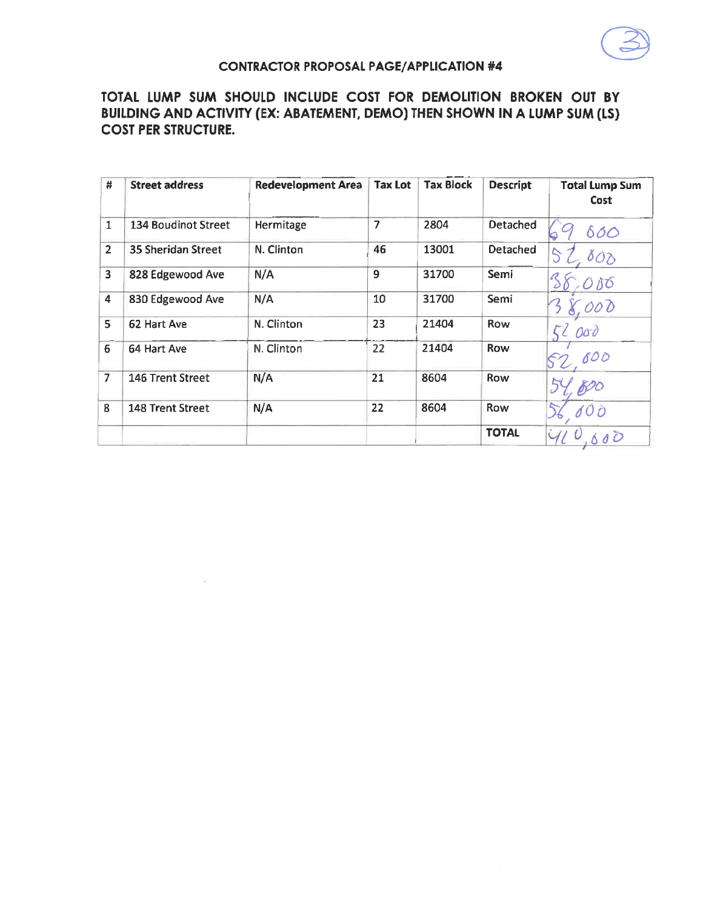

### **CONTRACTOR PROPOSAL PAGE/APPLICATION #4**

| #              | <b>Street address</b>      | <b>Redevelopment Area</b> | <b>Tax Lot</b> | <b>Tax Block</b> | <b>Descript</b> | <b>Total Lump Sum</b><br>Cost           |
|----------------|----------------------------|---------------------------|----------------|------------------|-----------------|-----------------------------------------|
| $\mathbf{1}$   | <b>134 Boudinot Street</b> | Hermitage                 | 7              | 2804             | Detached        | 600<br>دعا                              |
| $\overline{2}$ | 35 Sheridan Street         | N. Clinton                | 46             | 13001            | Detached        | $\mathcal{S}$<br>$\delta{\cal O}\delta$ |
| 3              | 828 Edgewood Ave           | N/A                       | 9              | 31700            | Semi            |                                         |
| 4              | 830 Edgewood Ave           | N/A                       | 10             | 31700            | Semi            | 000                                     |
| 5              | 62 Hart Ave                | N. Clinton                | 23             | 21404            | <b>Row</b>      | 000                                     |
| 6              | 64 Hart Ave                | N. Clinton                | 22             | 21404            | Row             | 600                                     |
| $\overline{7}$ | 146 Trent Street           | N/A                       | 21             | 8604             | <b>Row</b>      |                                         |
| 8.             | 148 Trent Street           | N/A                       | 22             | 8604             | Row             |                                         |
|                |                            |                           |                |                  | <b>TOTAL</b>    | 0 <sup>D</sup>                          |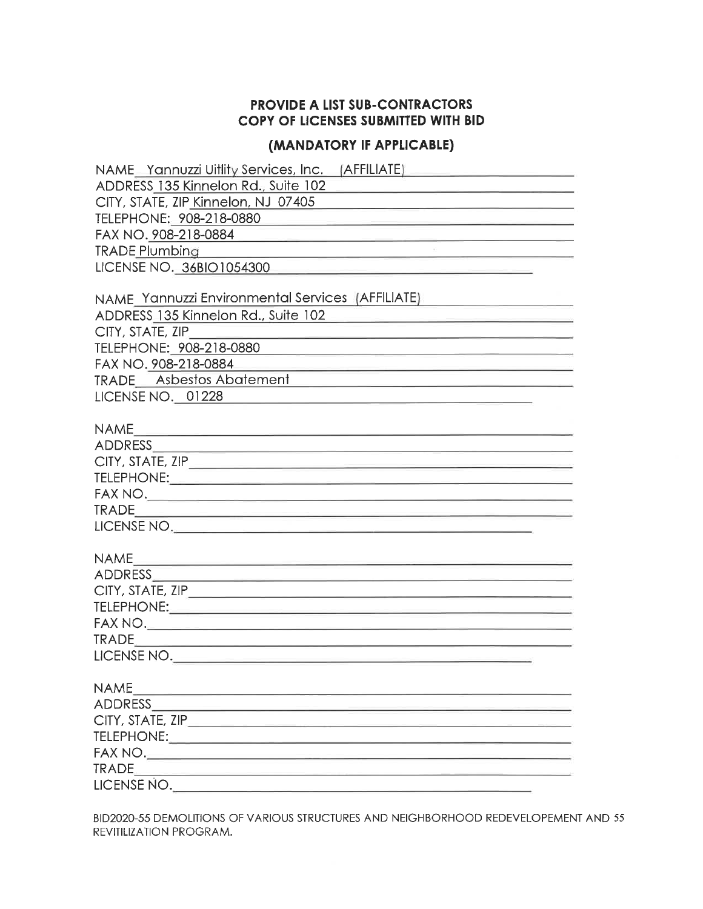#### (MANDATORY IF APPLICABLE)

| NAME Yannuzzi Uitlity Services, Inc. (AFFILIATE)                                                                                                                                                                                                                                                                                                                                                                                                                                             |
|----------------------------------------------------------------------------------------------------------------------------------------------------------------------------------------------------------------------------------------------------------------------------------------------------------------------------------------------------------------------------------------------------------------------------------------------------------------------------------------------|
| ADDRESS 135 Kinnelon Rd., Suite 102<br>the company of the company of the company of the company of the company of the company of                                                                                                                                                                                                                                                                                                                                                             |
| CITY, STATE, ZIP Kinnelon, NJ 07405<br><u> 1989 - Johann John Stone, markin fan it ferstjer fan it ferstjer fan it ferstjer fan it ferstjer fan it fers</u>                                                                                                                                                                                                                                                                                                                                  |
| TELEPHONE: 908-218-0880                                                                                                                                                                                                                                                                                                                                                                                                                                                                      |
| FAX NO. 908-218-0884                                                                                                                                                                                                                                                                                                                                                                                                                                                                         |
| $\label{eq:R1} \mathbf{E} = \mathbf{E} \left[ \mathbf{E} \left[ \mathbf{E} \right] \mathbf{E} \right] + \mathbf{E} \left[ \mathbf{E} \right] \mathbf{E} \left[ \mathbf{E} \right] + \mathbf{E} \left[ \mathbf{E} \right] \mathbf{E} \left[ \mathbf{E} \right] + \mathbf{E} \left[ \mathbf{E} \right] \mathbf{E} \left[ \mathbf{E} \right] \mathbf{E} \left[ \mathbf{E} \right] + \mathbf{E} \left[ \mathbf{E} \right] \mathbf{E} \left[ \mathbf{E} \right] \mathbf$<br><b>TRADE Plumbing</b> |
| LICENSE NO. 36BIO1054300                                                                                                                                                                                                                                                                                                                                                                                                                                                                     |
|                                                                                                                                                                                                                                                                                                                                                                                                                                                                                              |
| NAME Yannuzzi Environmental Services (AFFILIATE)                                                                                                                                                                                                                                                                                                                                                                                                                                             |
| ADDRESS 135 Kinnelon Rd., Suite 102<br><u> 1980 - Johann John Stein, markin film yn y brenin y brenin y brenin y brenin y brenin y brenin y brenin y br</u>                                                                                                                                                                                                                                                                                                                                  |
| CITY, STATE, ZIP<br><u> 1980 - Antonio Alemania, matematika amerikan perang perang perang perang perang perang perang perang perang per</u>                                                                                                                                                                                                                                                                                                                                                  |
| TELEPHONE: 908-218-0880<br><u> 1980 - Jan Alexandri, fransk politik (d. 1980)</u>                                                                                                                                                                                                                                                                                                                                                                                                            |
| FAX NO. 908-218-0884<br><u> 1989 - An Aonaichte ann an Catharanachd ann an t-</u>                                                                                                                                                                                                                                                                                                                                                                                                            |
| TRADE Asbestos Abatement                                                                                                                                                                                                                                                                                                                                                                                                                                                                     |
| LICENSE NO. 01228                                                                                                                                                                                                                                                                                                                                                                                                                                                                            |
|                                                                                                                                                                                                                                                                                                                                                                                                                                                                                              |
|                                                                                                                                                                                                                                                                                                                                                                                                                                                                                              |
|                                                                                                                                                                                                                                                                                                                                                                                                                                                                                              |
|                                                                                                                                                                                                                                                                                                                                                                                                                                                                                              |
|                                                                                                                                                                                                                                                                                                                                                                                                                                                                                              |
|                                                                                                                                                                                                                                                                                                                                                                                                                                                                                              |
|                                                                                                                                                                                                                                                                                                                                                                                                                                                                                              |
| LICENSE NO.                                                                                                                                                                                                                                                                                                                                                                                                                                                                                  |
|                                                                                                                                                                                                                                                                                                                                                                                                                                                                                              |
|                                                                                                                                                                                                                                                                                                                                                                                                                                                                                              |
|                                                                                                                                                                                                                                                                                                                                                                                                                                                                                              |
|                                                                                                                                                                                                                                                                                                                                                                                                                                                                                              |
|                                                                                                                                                                                                                                                                                                                                                                                                                                                                                              |
|                                                                                                                                                                                                                                                                                                                                                                                                                                                                                              |
|                                                                                                                                                                                                                                                                                                                                                                                                                                                                                              |
| LICENSE NO.                                                                                                                                                                                                                                                                                                                                                                                                                                                                                  |
| <b>NAME</b>                                                                                                                                                                                                                                                                                                                                                                                                                                                                                  |
| <u> 1989 - Jan Barbara Barat, manazar amerikan basar da</u><br>ADDRESS AND ALL AND ANNUAL AND ALL AND AND ALL AND AND ALL AND AND ALL AND ALL AND ALL AND ALL AND A                                                                                                                                                                                                                                                                                                                          |
|                                                                                                                                                                                                                                                                                                                                                                                                                                                                                              |
|                                                                                                                                                                                                                                                                                                                                                                                                                                                                                              |
|                                                                                                                                                                                                                                                                                                                                                                                                                                                                                              |
|                                                                                                                                                                                                                                                                                                                                                                                                                                                                                              |
| LICENSE NO.                                                                                                                                                                                                                                                                                                                                                                                                                                                                                  |
|                                                                                                                                                                                                                                                                                                                                                                                                                                                                                              |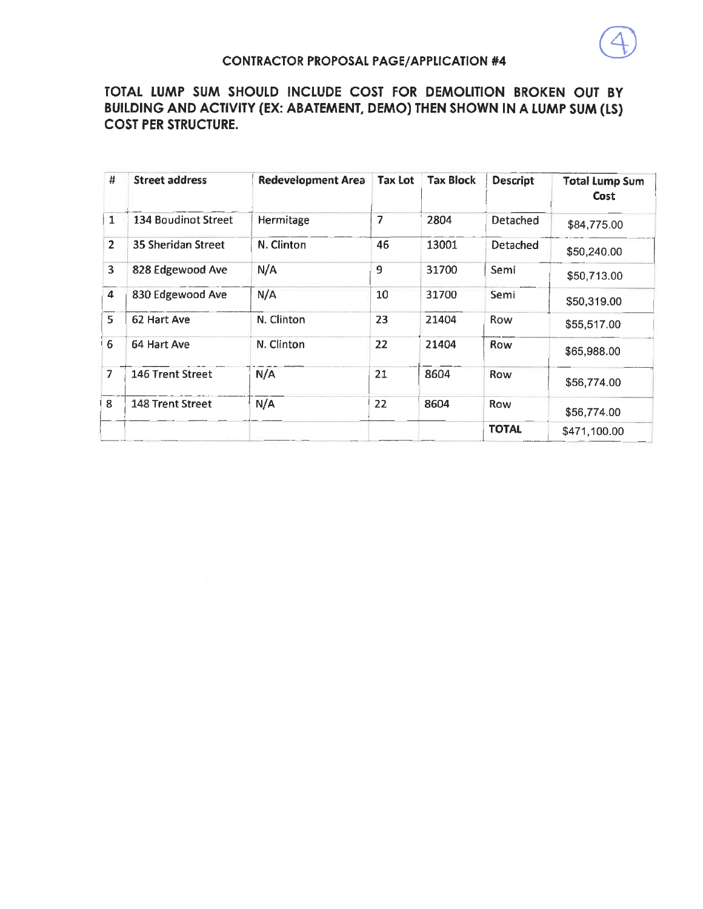

| #              | <b>Street address</b> | <b>Redevelopment Area</b> | <b>Tax Lot</b> | <b>Tax Block</b> | <b>Descript</b> | <b>Total Lump Sum</b><br>Cost |
|----------------|-----------------------|---------------------------|----------------|------------------|-----------------|-------------------------------|
| $\mathbf{1}$   | 134 Boudinot Street   | Hermitage                 | 7              | 2804             | <b>Detached</b> | \$84,775.00                   |
| $\overline{2}$ | 35 Sheridan Street    | N. Clinton                | 46             | 13001            | Detached        | \$50,240.00                   |
| 3              | 828 Edgewood Ave      | N/A                       | 9              | 31700            | Semi            | \$50,713.00                   |
| $\overline{4}$ | 830 Edgewood Ave      | N/A                       | 10             | 31700            | Semi            | \$50,319.00                   |
| 5              | 62 Hart Ave           | N. Clinton                | 23             | 21404            | Row             | \$55,517.00                   |
| 6              | 64 Hart Ave           | N. Clinton                | 22             | 21404            | Row             | \$65,988.00                   |
| 7              | 146 Trent Street      | N/A                       | 21             | 8604             | Row             | \$56,774.00                   |
| 8              | 148 Trent Street      | N/A                       | 22             | 8604             | Row             | \$56,774.00                   |
|                |                       |                           |                |                  | <b>TOTAL</b>    | \$471,100.00                  |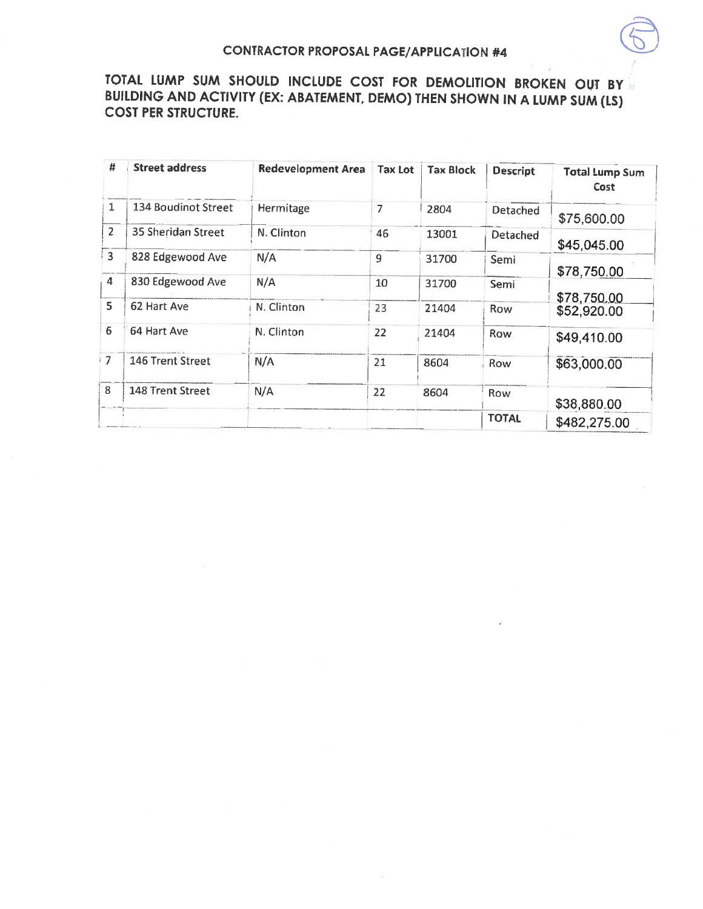| #              | <b>Street address</b> | <b>Redevelopment Area</b> | <b>Tax Lot</b> | <b>Tax Block</b> | <b>Descript</b> | <b>Total Lump Sum</b><br>Cost |
|----------------|-----------------------|---------------------------|----------------|------------------|-----------------|-------------------------------|
| 1              | 134 Boudinot Street   | Hermitage                 | 7              | 2804             | <b>Detached</b> | \$75,600.00                   |
| $\overline{2}$ | 35 Sheridan Street    | N. Clinton                | 46             | 13001            | Detached        | \$45,045.00                   |
| $\overline{3}$ | 828 Edgewood Ave      | N/A                       | 9              | 31700            | Semi            | \$78,750.00                   |
| 4              | 830 Edgewood Ave      | N/A                       | 10             | 31700            | Semi            | \$78,750.00                   |
| 5              | 62 Hart Ave           | N. Clinton                | 23             | 21404            | Row             | \$52,920.00                   |
| 6              | 64 Hart Ave           | N. Clinton                | 22             | 21404            | Row             | \$49,410.00                   |
| $\overline{1}$ | 146 Trent Street      | N/A                       | 21             | 8604             | Row             | \$63,000.00                   |
| 8              | 148 Trent Street      | N/A                       | 22             | 8604             | <b>Row</b>      | \$38,880.00                   |
|                |                       |                           |                |                  | <b>TOTAL</b>    | \$482,275.00                  |